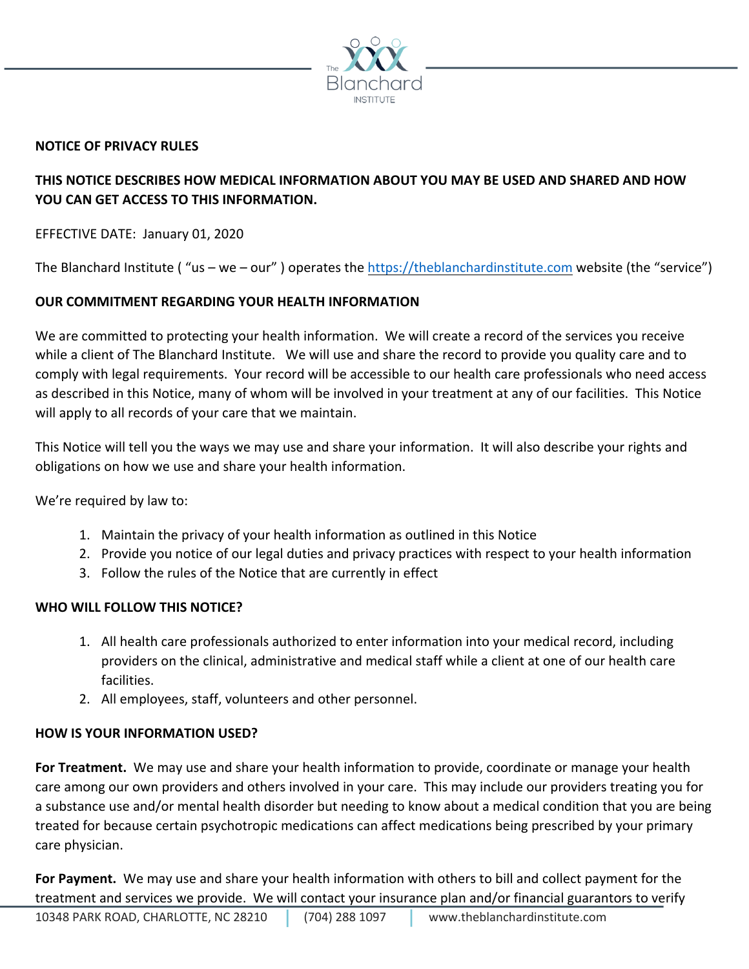

## **NOTICE OF PRIVACY RULES**

# **THIS NOTICE DESCRIBES HOW MEDICAL INFORMATION ABOUT YOU MAY BE USED AND SHARED AND HOW YOU CAN GET ACCESS TO THIS INFORMATION.**

EFFECTIVE DATE: January 01, 2020

The Blanchard Institute ("us - we - our") operates the https://theblanchardinstitute.com website (the "service")

## **OUR COMMITMENT REGARDING YOUR HEALTH INFORMATION**

We are committed to protecting your health information. We will create a record of the services you receive while a client of The Blanchard Institute. We will use and share the record to provide you quality care and to comply with legal requirements. Your record will be accessible to our health care professionals who need access as described in this Notice, many of whom will be involved in your treatment at any of our facilities. This Notice will apply to all records of your care that we maintain.

This Notice will tell you the ways we may use and share your information. It will also describe your rights and obligations on how we use and share your health information.

We're required by law to:

- 1. Maintain the privacy of your health information as outlined in this Notice
- 2. Provide you notice of our legal duties and privacy practices with respect to your health information
- 3. Follow the rules of the Notice that are currently in effect

#### **WHO WILL FOLLOW THIS NOTICE?**

- 1. All health care professionals authorized to enter information into your medical record, including providers on the clinical, administrative and medical staff while a client at one of our health care facilities.
- 2. All employees, staff, volunteers and other personnel.

## **HOW IS YOUR INFORMATION USED?**

**For Treatment.** We may use and share your health information to provide, coordinate or manage your health care among our own providers and others involved in your care. This may include our providers treating you for a substance use and/or mental health disorder but needing to know about a medical condition that you are being treated for because certain psychotropic medications can affect medications being prescribed by your primary care physician.

**For Payment.** We may use and share your health information with others to bill and collect payment for the treatment and services we provide. We will contact your insurance plan and/or financial guarantors to verify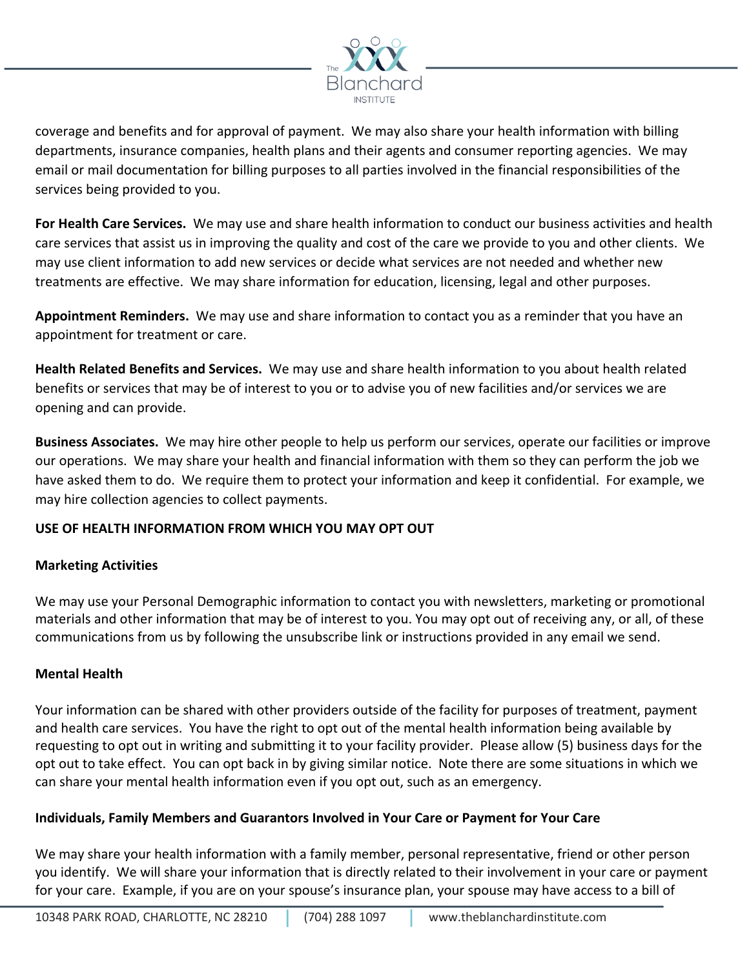

coverage and benefits and for approval of payment. We may also share your health information with billing departments, insurance companies, health plans and their agents and consumer reporting agencies. We may email or mail documentation for billing purposes to all parties involved in the financial responsibilities of the services being provided to you.

**For Health Care Services.** We may use and share health information to conduct our business activities and health care services that assist us in improving the quality and cost of the care we provide to you and other clients. We may use client information to add new services or decide what services are not needed and whether new treatments are effective. We may share information for education, licensing, legal and other purposes.

**Appointment Reminders.** We may use and share information to contact you as a reminder that you have an appointment for treatment or care.

**Health Related Benefits and Services.** We may use and share health information to you about health related benefits or services that may be of interest to you or to advise you of new facilities and/or services we are opening and can provide.

**Business Associates.** We may hire other people to help us perform our services, operate our facilities or improve our operations. We may share your health and financial information with them so they can perform the job we have asked them to do. We require them to protect your information and keep it confidential. For example, we may hire collection agencies to collect payments.

## **USE OF HEALTH INFORMATION FROM WHICH YOU MAY OPT OUT**

## **Marketing Activities**

We may use your Personal Demographic information to contact you with newsletters, marketing or promotional materials and other information that may be of interest to you. You may opt out of receiving any, or all, of these communications from us by following the unsubscribe link or instructions provided in any email we send.

## **Mental Health**

Your information can be shared with other providers outside of the facility for purposes of treatment, payment and health care services. You have the right to opt out of the mental health information being available by requesting to opt out in writing and submitting it to your facility provider. Please allow (5) business days for the opt out to take effect. You can opt back in by giving similar notice. Note there are some situations in which we can share your mental health information even if you opt out, such as an emergency.

## **Individuals, Family Members and Guarantors Involved in Your Care or Payment for Your Care**

We may share your health information with a family member, personal representative, friend or other person you identify. We will share your information that is directly related to their involvement in your care or payment for your care. Example, if you are on your spouse's insurance plan, your spouse may have access to a bill of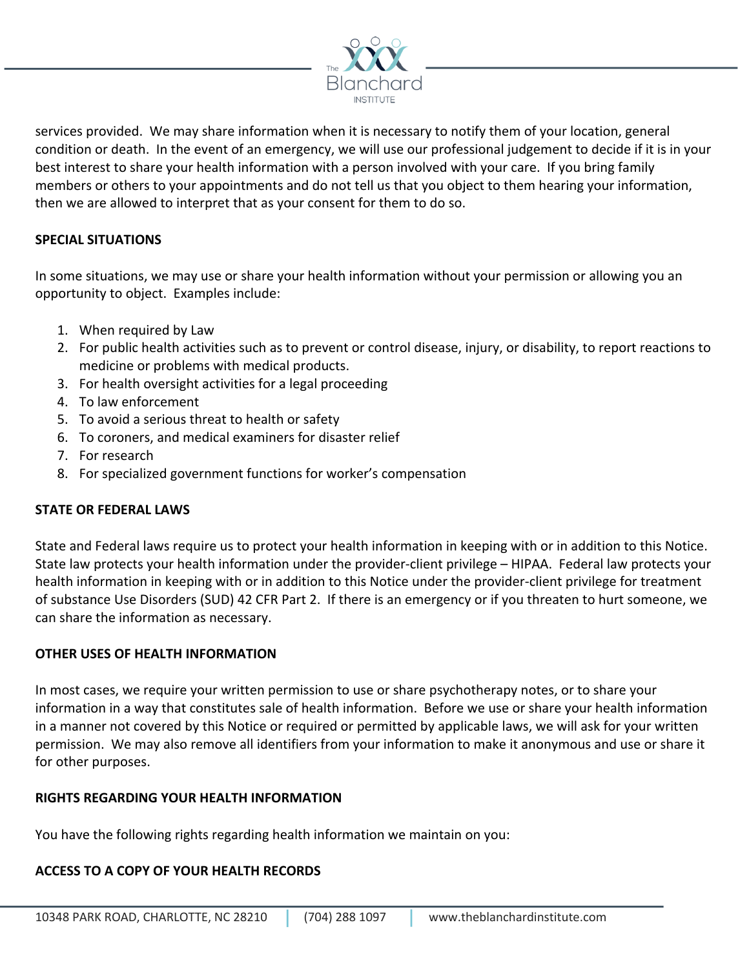

services provided. We may share information when it is necessary to notify them of your location, general condition or death. In the event of an emergency, we will use our professional judgement to decide if it is in your best interest to share your health information with a person involved with your care. If you bring family members or others to your appointments and do not tell us that you object to them hearing your information, then we are allowed to interpret that as your consent for them to do so.

#### **SPECIAL SITUATIONS**

In some situations, we may use or share your health information without your permission or allowing you an opportunity to object. Examples include:

- 1. When required by Law
- 2. For public health activities such as to prevent or control disease, injury, or disability, to report reactions to medicine or problems with medical products.
- 3. For health oversight activities for a legal proceeding
- 4. To law enforcement
- 5. To avoid a serious threat to health or safety
- 6. To coroners, and medical examiners for disaster relief
- 7. For research
- 8. For specialized government functions for worker's compensation

#### **STATE OR FEDERAL LAWS**

State and Federal laws require us to protect your health information in keeping with or in addition to this Notice. State law protects your health information under the provider-client privilege – HIPAA. Federal law protects your health information in keeping with or in addition to this Notice under the provider-client privilege for treatment of substance Use Disorders (SUD) 42 CFR Part 2. If there is an emergency or if you threaten to hurt someone, we can share the information as necessary.

#### **OTHER USES OF HEALTH INFORMATION**

In most cases, we require your written permission to use or share psychotherapy notes, or to share your information in a way that constitutes sale of health information. Before we use or share your health information in a manner not covered by this Notice or required or permitted by applicable laws, we will ask for your written permission. We may also remove all identifiers from your information to make it anonymous and use or share it for other purposes.

#### **RIGHTS REGARDING YOUR HEALTH INFORMATION**

You have the following rights regarding health information we maintain on you:

## **ACCESS TO A COPY OF YOUR HEALTH RECORDS**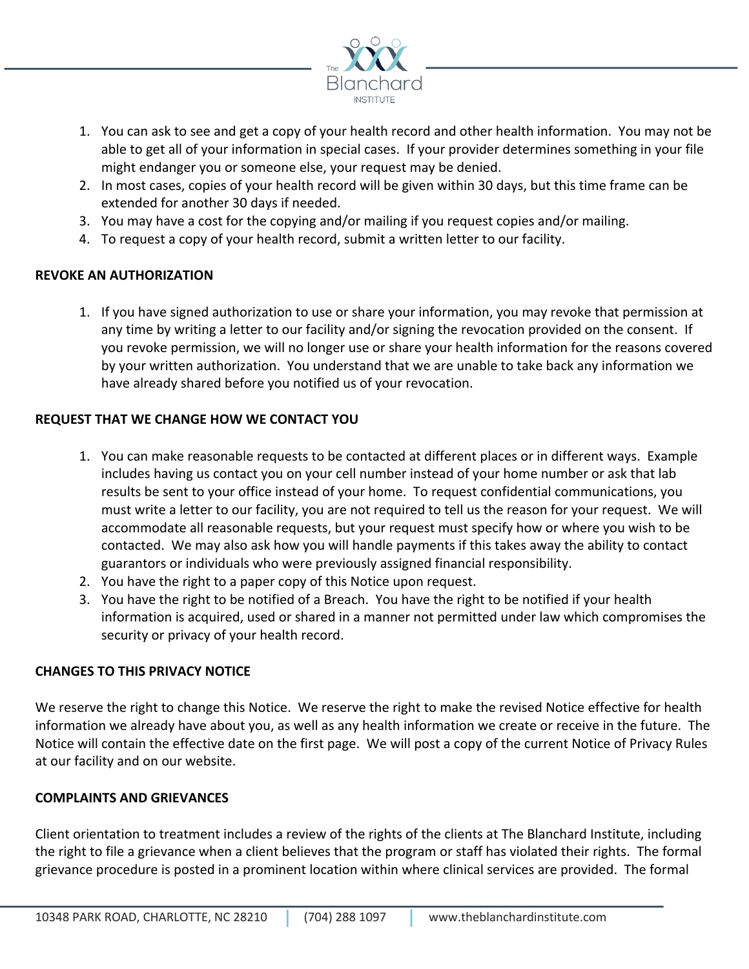

- 1. You can ask to see and get a copy of your health record and other health information. You may not be able to get all of your information in special cases. If your provider determines something in your file might endanger you or someone else, your request may be denied.
- 2. In most cases, copies of your health record will be given within 30 days, but this time frame can be extended for another 30 days if needed.
- 3. You may have a cost for the copying and/or mailing if you request copies and/or mailing.
- 4. To request a copy of your health record, submit a written letter to our facility.

## **REVOKE AN AUTHORIZATION**

1. If you have signed authorization to use or share your information, you may revoke that permission at any time by writing a letter to our facility and/or signing the revocation provided on the consent. If you revoke permission, we will no longer use or share your health information for the reasons covered by your written authorization. You understand that we are unable to take back any information we have already shared before you notified us of your revocation.

## **REQUEST THAT WE CHANGE HOW WE CONTACT YOU**

- 1. You can make reasonable requests to be contacted at different places or in different ways. Example includes having us contact you on your cell number instead of your home number or ask that lab results be sent to your office instead of your home. To request confidential communications, you must write a letter to our facility, you are not required to tell us the reason for your request. We will accommodate all reasonable requests, but your request must specify how or where you wish to be contacted. We may also ask how you will handle payments if this takes away the ability to contact guarantors or individuals who were previously assigned financial responsibility.
- 2. You have the right to a paper copy of this Notice upon request.
- 3. You have the right to be notified of a Breach. You have the right to be notified if your health information is acquired, used or shared in a manner not permitted under law which compromises the security or privacy of your health record.

## **CHANGES TO THIS PRIVACY NOTICE**

We reserve the right to change this Notice. We reserve the right to make the revised Notice effective for health information we already have about you, as well as any health information we create or receive in the future. The Notice will contain the effective date on the first page. We will post a copy of the current Notice of Privacy Rules at our facility and on our website.

## **COMPLAINTS AND GRIEVANCES**

Client orientation to treatment includes a review of the rights of the clients at The Blanchard Institute, including the right to file a grievance when a client believes that the program or staff has violated their rights. The formal grievance procedure is posted in a prominent location within where clinical services are provided. The formal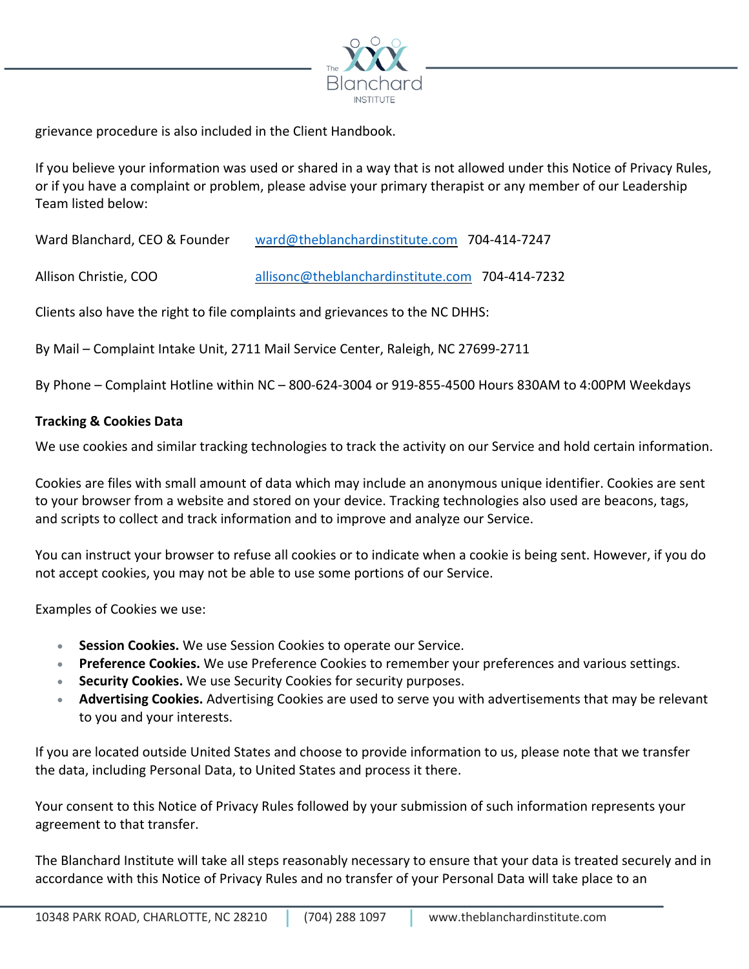

grievance procedure is also included in the Client Handbook.

If you believe your information was used or shared in a way that is not allowed under this Notice of Privacy Rules, or if you have a complaint or problem, please advise your primary therapist or any member of our Leadership Team listed below:

Ward Blanchard, CEO & Founder ward@theblanchardinstitute.com 704-414-7247

Allison Christie, COO allisonc@theblanchardinstitute.com 704-414-7232

Clients also have the right to file complaints and grievances to the NC DHHS:

By Mail – Complaint Intake Unit, 2711 Mail Service Center, Raleigh, NC 27699-2711

By Phone – Complaint Hotline within NC – 800-624-3004 or 919-855-4500 Hours 830AM to 4:00PM Weekdays

#### **Tracking & Cookies Data**

We use cookies and similar tracking technologies to track the activity on our Service and hold certain information.

Cookies are files with small amount of data which may include an anonymous unique identifier. Cookies are sent to your browser from a website and stored on your device. Tracking technologies also used are beacons, tags, and scripts to collect and track information and to improve and analyze our Service.

You can instruct your browser to refuse all cookies or to indicate when a cookie is being sent. However, if you do not accept cookies, you may not be able to use some portions of our Service.

Examples of Cookies we use:

- **Session Cookies.** We use Session Cookies to operate our Service.
- **Preference Cookies.** We use Preference Cookies to remember your preferences and various settings.
- **Security Cookies.** We use Security Cookies for security purposes.
- **Advertising Cookies.** Advertising Cookies are used to serve you with advertisements that may be relevant to you and your interests.

If you are located outside United States and choose to provide information to us, please note that we transfer the data, including Personal Data, to United States and process it there.

Your consent to this Notice of Privacy Rules followed by your submission of such information represents your agreement to that transfer.

The Blanchard Institute will take all steps reasonably necessary to ensure that your data is treated securely and in accordance with this Notice of Privacy Rules and no transfer of your Personal Data will take place to an